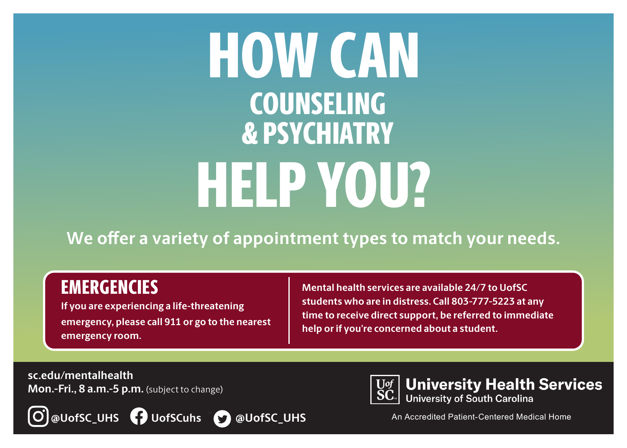# HOW CAN HELP YOU? COUNSELING & PSYCHIATRY

**We offer a variety of appointment types to match your needs.**

## **EMERGENCIES**

**If you are experiencing a life-threatening emergency, please call 911 or go to the nearest emergency room.** 

**Mental health services are available 24/7 to UofSC students who are in distress. Call 803-777-5223 at any time to receive direct support, be referred to immediate help or if you're concerned about a student.** 

**sc.edu/mentalhealth Mon.-Fri., 8 a.m.-5 p.m.** (subject to change)







**University Health Services**<br>University of South Carolina

An Accredited Patient-Centered Medical Home